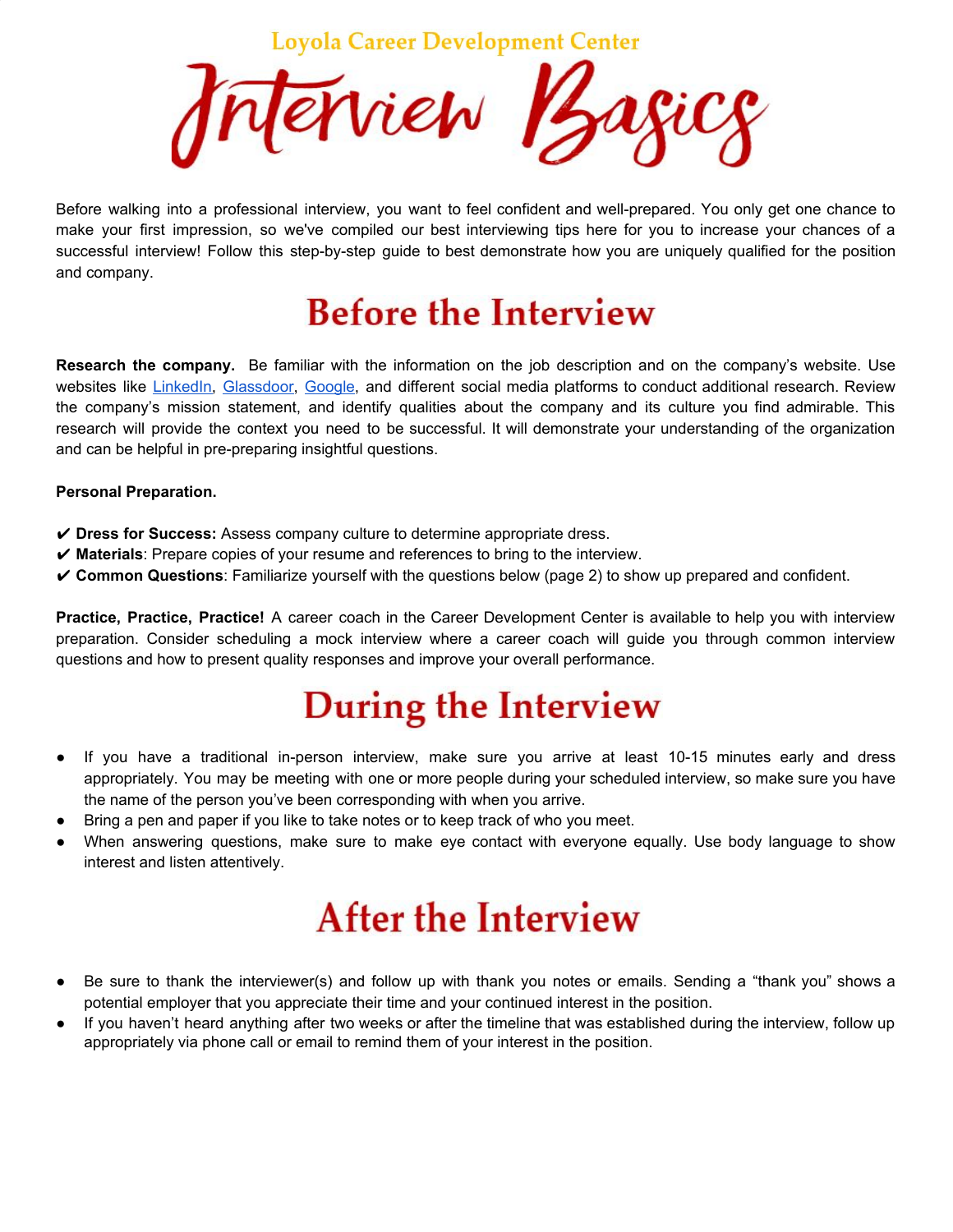**Loyola Career Development Center** 



Before walking into a professional interview, you want to feel confident and well-prepared. You only get one chance to make your first impression, so we've compiled our best interviewing tips here for you to increase your chances of a successful interview! Follow this step-by-step guide to best demonstrate how you are uniquely qualified for the position and company.

## **Before the Interview**

**Research the company.** Be familiar with the information on the job description and on the company's website. Use websites like [LinkedIn](https://www.linkedin.com/), [Glassdoor,](https://www.glassdoor.com/) [Google](https://www.google.com/), and different social media platforms to conduct additional research. Review the company's mission statement, and identify qualities about the company and its culture you find admirable. This research will provide the context you need to be successful. It will demonstrate your understanding of the organization and can be helpful in pre-preparing insightful questions.

#### **Personal Preparation.**

- ✔ **Dress for Success:** Assess company culture to determine appropriate dress.
- ✔ **Materials**: Prepare copies of your resume and references to bring to the interview.
- ✔ **Common Questions**: Familiarize yourself with the questions below (page 2) to show up prepared and confident.

**Practice, Practice, Practice!** A career coach in the Career Development Center is available to help you with interview preparation. Consider scheduling a mock interview where a career coach will guide you through common interview questions and how to present quality responses and improve your overall performance.

## **During the Interview**

- If you have a traditional in-person interview, make sure you arrive at least 10-15 minutes early and dress appropriately. You may be meeting with one or more people during your scheduled interview, so make sure you have the name of the person you've been corresponding with when you arrive.
- Bring a pen and paper if you like to take notes or to keep track of who you meet.
- When answering questions, make sure to make eye contact with everyone equally. Use body language to show interest and listen attentively.

# **After the Interview**

- Be sure to thank the interviewer(s) and follow up with thank you notes or emails. Sending a "thank you" shows a potential employer that you appreciate their time and your continued interest in the position.
- If you haven't heard anything after two weeks or after the timeline that was established during the interview, follow up appropriately via phone call or email to remind them of your interest in the position.